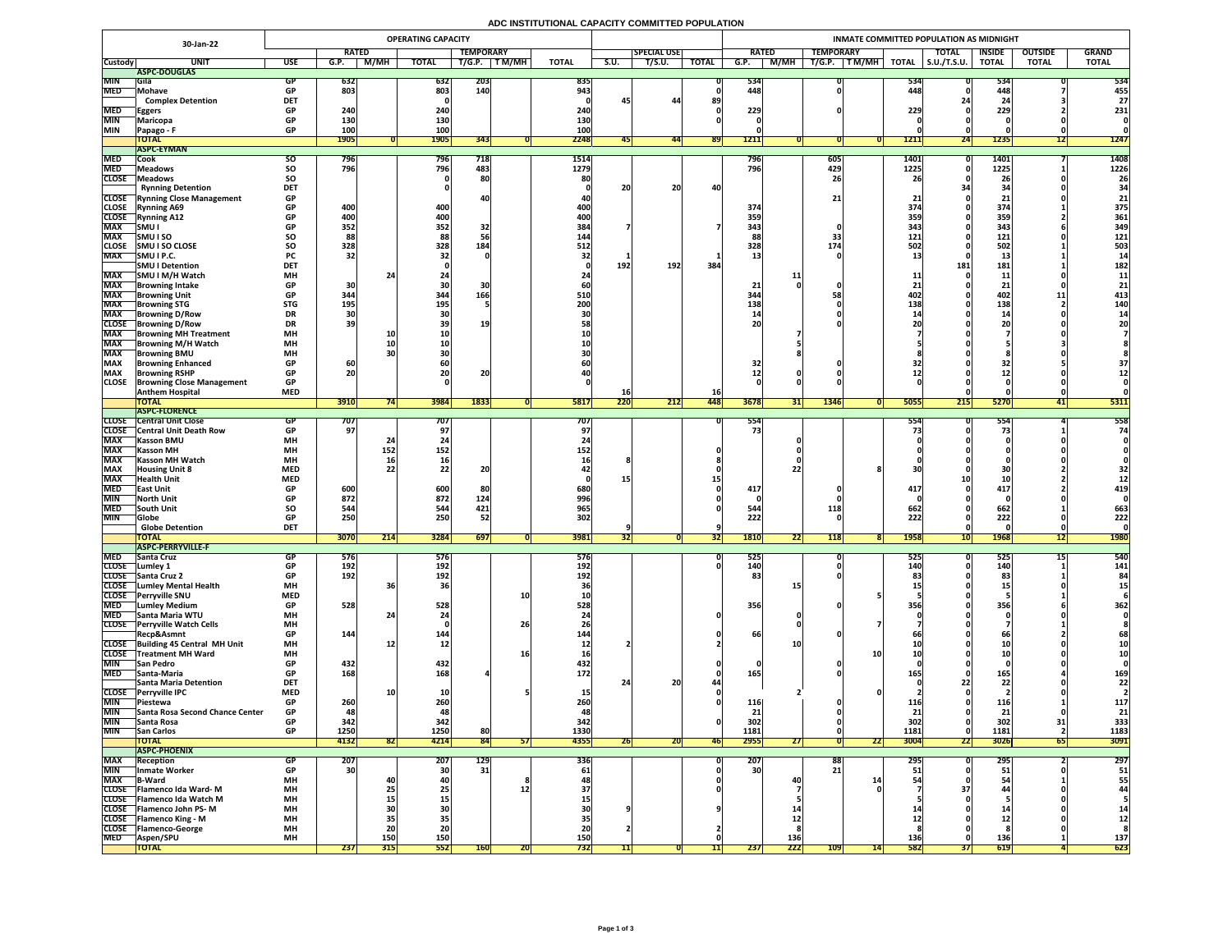## **ADC INSTITUTIONAL CAPACITY COMMITTED POPULATION**

| 30-Jan-22                |                                                                   | <b>OPERATING CAPACITY</b> |                          |                                                               |                 |                   |              |                    |           | <b>INMATE COMMITTED POPULATION AS MIDNIGHT</b> |              |                 |                  |                          |                            |                     |                     |                |                |              |  |  |
|--------------------------|-------------------------------------------------------------------|---------------------------|--------------------------|---------------------------------------------------------------|-----------------|-------------------|--------------|--------------------|-----------|------------------------------------------------|--------------|-----------------|------------------|--------------------------|----------------------------|---------------------|---------------------|----------------|----------------|--------------|--|--|
|                          |                                                                   |                           | <b>RATED</b>             |                                                               |                 | <b>TEMPORARY</b>  |              |                    |           | <b>SPECIAL USE</b>                             |              | <b>RATED</b>    |                  | <b>TEMPORARY</b>         |                            |                     | <b>TOTAL</b>        | <b>INSIDE</b>  | <b>OUTSIDE</b> | <b>GRAND</b> |  |  |
| <b>Custody</b>           | <b>UNIT</b>                                                       | <b>USE</b>                | G.P.                     | M/MH                                                          | <b>TOTAL</b>    | T/G.P.            | <b>TM/MH</b> | <b>TOTAL</b>       | S.U.      | T/S.U.                                         | <b>TOTAL</b> | G.P.            | <b>M/MH</b>      | T/G.P.                   | $\sqrt{T}$ M/MH $\sqrt{N}$ | <b>TOTAL</b>        | $\vert$ S.U./T.S.U. | <b>TOTAL</b>   | <b>TOTAL</b>   | <b>TOTAL</b> |  |  |
|                          | ASPC-DOUGLAS                                                      |                           |                          |                                                               |                 |                   |              |                    |           |                                                |              |                 |                  |                          |                            |                     |                     |                |                |              |  |  |
| <b>MIN</b><br><b>MED</b> | <b>Sila</b><br>Mohave                                             | GP<br><b>GP</b>           | 632<br>803               |                                                               | 632<br>803      | <b>203</b><br>140 |              | 835<br>943         |           |                                                |              | 534<br>448      |                  |                          |                            | 534<br>448          |                     | 534<br>448     |                | 534<br>455   |  |  |
|                          | <b>Complex Detention</b>                                          | <b>DET</b>                |                          |                                                               |                 |                   |              |                    | 45        | 44                                             | 89           |                 |                  |                          |                            |                     |                     |                |                | 27           |  |  |
| <b>MED</b>               | Eggers                                                            | <b>GP</b>                 | 240 <sub>1</sub>         |                                                               | 240             |                   |              | 240                |           |                                                |              | 229             |                  |                          |                            | 229                 |                     | 229            |                | 231          |  |  |
| <b>MIN</b>               | <b>Maricopa</b>                                                   | <b>GP</b>                 | 130                      |                                                               | 130             |                   |              | 130                |           |                                                |              |                 |                  |                          |                            |                     |                     |                |                |              |  |  |
| <b>MIN</b>               | <b>Papago - F</b>                                                 | <b>GP</b>                 | 100                      |                                                               | 100             |                   |              |                    |           |                                                |              |                 |                  |                          |                            |                     |                     |                |                |              |  |  |
|                          | <b>TOTAL</b>                                                      |                           | <b>1905</b>              |                                                               | <b>1905</b>     | 343               |              | 2248               |           | 44                                             | <b>891</b>   | <b>1211</b>     |                  |                          |                            | <b>1211</b>         | 24                  | <b>1235</b>    | L              | 1247         |  |  |
|                          | <b>ASPC-EYMAN</b>                                                 |                           |                          |                                                               |                 |                   |              |                    |           |                                                |              |                 |                  |                          |                            |                     |                     |                |                |              |  |  |
| <b>MED</b><br><b>MED</b> | Cook                                                              | <b>SU</b>                 | 796 <br><b>796</b>       |                                                               | 796<br>796      | 718<br>483        |              | 1514<br>1279       |           |                                                |              | 796<br>796      |                  | $\vert 605 \vert$<br>429 |                            | <b>1401</b><br>1225 |                     | 1401           |                | 1408<br>1226 |  |  |
| <b>CLOSE</b>             | <b>Meadows</b><br><b>TMeadows</b>                                 | <b>SO</b><br><b>SO</b>    |                          |                                                               |                 | 80                |              | 80                 |           |                                                |              |                 |                  | 26                       |                            |                     |                     | 1225<br>26     |                | 26           |  |  |
|                          | <b>Rynning Detention</b>                                          | <b>DET</b>                |                          |                                                               |                 |                   |              |                    | 20        | 20                                             | 40           |                 |                  |                          |                            |                     |                     |                |                | 34           |  |  |
|                          | <b>CLOSE</b> Rynning Close Management                             | <b>GP</b>                 |                          |                                                               |                 |                   |              |                    |           |                                                |              |                 |                  | 21 <sub>1</sub>          |                            |                     |                     |                |                | 21           |  |  |
| <b>CLOSE</b>             | <b>Rynning A69</b>                                                | <b>GP</b>                 | 400                      |                                                               | 400             |                   |              | 400                |           |                                                |              | 374             |                  |                          |                            | 374                 |                     | 374            |                | 375          |  |  |
| <b>CLOSE</b>             | <b>Rynning A12</b>                                                | <b>GP</b>                 | 400                      |                                                               | 400             |                   |              | 400                |           |                                                |              | 359             |                  |                          |                            | <b>359 </b>         |                     | 359            |                | 361          |  |  |
| <b>MAX</b>               | SMU I                                                             | <b>GP</b>                 | 352                      |                                                               | 352             | 32                |              | 384                |           |                                                |              | 343             |                  |                          |                            | 343                 |                     | 343            |                | 349          |  |  |
| <b>MAX</b>               | <b>SMUISO</b>                                                     | <b>SO</b>                 | 88                       |                                                               | 88              |                   |              | 144                |           |                                                |              | 88              |                  | 33                       |                            | 121                 |                     | 121            |                | 121          |  |  |
| <b>CLOSE</b>             | <b>SMU I SO CLOSE</b>                                             | <b>SO</b>                 | 328                      |                                                               | 328             | 184               |              | 512                |           |                                                |              | 328             |                  | 174                      |                            | <b>502</b>          |                     | 502            |                | 503          |  |  |
| <b>MAX</b>               | SMU I P.C.<br><b>SMU I Detention</b>                              | <b>PC</b><br><b>DET</b>   | 32                       |                                                               |                 |                   |              |                    | 192       | 192 <sub>1</sub>                               | 384          |                 |                  |                          |                            |                     | <b>181</b>          | ᅩJ<br>181      |                | 182          |  |  |
| <b>MAX</b>               | SMU I M/H Watch                                                   | <b>MH</b>                 |                          | 24                                                            |                 |                   |              |                    |           |                                                |              |                 |                  |                          |                            |                     |                     | <b>11</b>      |                | 11           |  |  |
| <b>MAX</b>               | Browning Intake                                                   | <b>GP</b>                 | 30                       |                                                               |                 |                   |              |                    |           |                                                |              | 21              |                  |                          |                            |                     |                     | 21             |                | 21           |  |  |
| <b>MAX</b>               | <b>Browning Unit</b>                                              | <b>GP</b>                 | 344                      |                                                               | 344             | 166               |              | <b>510</b>         |           |                                                |              | 344             |                  |                          |                            | 402                 |                     | 402            |                | 413          |  |  |
| <b>MAX</b>               | <b>Browning STG</b>                                               | <b>STG</b>                | 195                      |                                                               | 195             |                   |              | 200                |           |                                                |              | 138             |                  |                          |                            | 138                 |                     | 138            |                | 140          |  |  |
| <b>MAX</b>               | <b>Browning D/Row</b>                                             | <b>DR</b>                 |                          |                                                               |                 |                   |              |                    |           |                                                |              |                 |                  |                          |                            |                     |                     | <b>1</b>       |                |              |  |  |
| <b>CLOSE</b>             | <b>Browning D/Row</b>                                             | <b>DR</b>                 | 39                       |                                                               |                 | 19                |              |                    |           |                                                |              | 20 <sub>l</sub> |                  |                          |                            |                     |                     |                |                |              |  |  |
| <b>MAX</b>               | <b>Browning MH Treatment</b>                                      | <b>MH</b>                 |                          |                                                               |                 |                   |              |                    |           |                                                |              |                 |                  |                          |                            |                     |                     |                |                |              |  |  |
| <b>MAX</b><br><b>MAX</b> | <b>TBrowning M/H Watch</b>                                        | <b>MH</b><br><b>MH</b>    |                          |                                                               |                 |                   |              |                    |           |                                                |              |                 |                  |                          |                            |                     |                     |                |                |              |  |  |
| <b>MAX</b>               | <b>Browning BMU</b><br><b>Browning Enhanced</b>                   | <b>GP</b>                 | 60                       |                                                               |                 |                   |              |                    |           |                                                |              | 32              |                  |                          |                            |                     |                     |                |                |              |  |  |
| <b>MAX</b>               | <b>Browning RSHP</b>                                              | <b>GP</b>                 | nn.<br>ZUI               |                                                               | ZU              | 20                |              |                    |           |                                                |              |                 |                  |                          |                            |                     |                     | ┻┻             |                |              |  |  |
| <b>CLOSE</b>             | <b>Browning Close Management</b>                                  | <b>GP</b>                 |                          |                                                               |                 |                   |              |                    |           |                                                |              |                 |                  |                          |                            |                     |                     |                |                |              |  |  |
|                          | <b>Anthem Hospital</b>                                            | <b>MED</b>                |                          |                                                               |                 |                   |              |                    | TOI       |                                                | <b>16</b>    |                 |                  |                          |                            |                     |                     |                |                |              |  |  |
|                          | <b>TOTAL</b>                                                      |                           | 3910                     |                                                               | 3984            | 1833              |              | 5817               | 220       | 212                                            | <b>448</b>   | 3678            | <b>31 </b>       | 1346                     |                            | 5055                | 215                 | 5270           | 41             | 5311         |  |  |
|                          | <b>ASPC-FLORENCE</b>                                              |                           |                          |                                                               |                 |                   |              |                    |           |                                                |              |                 |                  |                          |                            |                     |                     |                |                |              |  |  |
| <b>CLOSE</b>             | <b>Central Unit Close</b><br><b>CLOSE</b> Central Unit Death Row  | <b>GP</b>                 | 707  <br>97 <sub>1</sub> |                                                               | 707             |                   |              | 707 <br><b>97)</b> |           |                                                |              | 554<br>73       |                  |                          |                            | 554                 |                     | 554            |                | 558<br>74    |  |  |
| <b>MAX</b>               | <b>Kasson BMU</b>                                                 | <b>MH</b>                 |                          |                                                               |                 |                   |              |                    |           |                                                |              |                 |                  |                          |                            |                     |                     |                |                |              |  |  |
| <b>MAX</b>               | <b>Kasson MH</b>                                                  | <b>MH</b>                 |                          | 152                                                           | 152             |                   |              | 152                |           |                                                |              |                 |                  |                          |                            |                     |                     |                |                |              |  |  |
| <b>MAX</b>               | <b>Kasson MH Watch</b>                                            | <b>MH</b>                 |                          |                                                               |                 |                   |              |                    |           |                                                |              |                 |                  |                          |                            |                     |                     |                |                |              |  |  |
| <b>MAX</b>               | <b>Housing Unit 8</b>                                             | <b>MED</b>                |                          |                                                               |                 | 20                |              |                    |           |                                                |              |                 |                  |                          |                            |                     |                     |                |                |              |  |  |
| <b>MAX</b>               | <b>Health Unit</b>                                                | <b>MED</b>                |                          |                                                               |                 |                   |              |                    |           |                                                |              |                 |                  |                          |                            |                     |                     |                |                |              |  |  |
| <b>MED</b>               | <b>East Unit</b>                                                  | <b>GP</b>                 | 600                      |                                                               | 600             |                   |              | 680                |           |                                                |              | 417             |                  |                          |                            | 417                 |                     | 417            |                | 419          |  |  |
| <b>MIN</b>               | <b>North Unit</b>                                                 | <b>GP</b>                 | 872                      |                                                               | 872             | 124               |              | 996                |           |                                                |              |                 |                  |                          |                            |                     |                     |                |                |              |  |  |
| <b>MED</b><br><b>MIN</b> | <b>South Unit</b><br><b>Globe</b>                                 | <b>SO</b><br><b>GP</b>    | 544<br>250               |                                                               | 544<br>250      | 421<br>52         |              | 965<br>302         |           |                                                |              | 544<br>222      |                  | 118                      |                            | 662<br>222          |                     | 662<br>222     |                | 663<br>222   |  |  |
|                          | <b>Globe Detention</b>                                            | <b>DET</b>                |                          |                                                               |                 |                   |              |                    |           |                                                |              |                 |                  |                          |                            |                     |                     |                |                |              |  |  |
|                          | <b>TOTAL</b>                                                      |                           | 3070                     | $\begin{array}{c} \n \boldsymbol{341} \n \end{array}$<br> Z14 | 3284            | 697               |              | 3981               | <b>34</b> |                                                | <b>34</b>    | <b>1810</b>     | 22               | <b>118</b>               |                            | 1958                | <b>10</b>           | <b>1968</b>    | 12             | <b>1980</b>  |  |  |
|                          | <b>ASPC-PERRYVILLE-F</b>                                          |                           |                          |                                                               |                 |                   |              |                    |           |                                                |              |                 |                  |                          |                            |                     |                     |                |                |              |  |  |
| <b>MED</b>               | <b>Santa Cruz</b>                                                 | <b>GP</b>                 | 576                      |                                                               | 576             |                   |              | <b>576</b>         |           |                                                |              | 525             |                  |                          |                            | <b>525</b>          |                     | 525            |                | 540          |  |  |
| <b>CLOSE</b>             | Lumley 1                                                          | <b>GP</b>                 | 192                      |                                                               | 192             |                   |              | <b>192</b>         |           |                                                |              | 140             |                  |                          |                            | 140                 |                     | 140            |                | 141          |  |  |
|                          | CLOSE Santa Cruz 2<br><b>CLOSE</b> Lumley Mental Health           | <b>GP</b><br><b>MH</b>    | 192                      |                                                               | 192             |                   |              | 192                |           |                                                |              | 83              |                  |                          |                            |                     |                     | 83             |                |              |  |  |
| <b>CLOSE</b>             | <b>Perryville SNU</b>                                             | <b>MED</b>                |                          |                                                               |                 |                   |              | <b>TAI</b>         |           |                                                |              |                 |                  |                          |                            |                     |                     |                |                |              |  |  |
| <b>MED</b>               | <b>Lumley Medium</b>                                              | <b>GP</b>                 | 528                      |                                                               | 528             |                   |              | 528                |           |                                                |              | 356             |                  |                          |                            | 356                 |                     | 356            |                | 362          |  |  |
| <b>MED</b>               | <b>Santa Maria WTU</b>                                            | <b>MH</b>                 |                          |                                                               |                 |                   |              |                    |           |                                                |              |                 |                  |                          |                            |                     |                     |                |                |              |  |  |
| <b>CLOSE</b>             | <b>Perryville Watch Cells</b>                                     | <b>MH</b>                 |                          |                                                               |                 |                   | 26           |                    |           |                                                |              |                 |                  |                          |                            |                     |                     |                |                |              |  |  |
|                          | Recp&Asmnt                                                        | <b>GP</b>                 | 144                      |                                                               | 144'            |                   |              | 144                |           |                                                |              | 66              |                  |                          |                            |                     |                     |                |                | 68           |  |  |
|                          | CLOSE Building 45 Central MH Unit                                 | <b>MH</b>                 |                          |                                                               | TV.             |                   |              |                    |           |                                                |              |                 |                  |                          |                            |                     |                     |                |                |              |  |  |
| <b>MIN</b>               | <b>CLOSE</b> Treatment MH Ward<br><b>San Pedro</b>                | <b>MH</b><br><b>GP</b>    | 432                      |                                                               | 432             |                   |              | <b>16</b><br>432   |           |                                                |              |                 |                  |                          |                            |                     |                     |                |                |              |  |  |
| <b>MED</b>               | Santa-Maria                                                       | <b>GP</b>                 | 168                      |                                                               | 168             |                   |              | <b>172</b>         |           |                                                |              | 165             |                  |                          |                            |                     |                     | 165            |                | 169          |  |  |
|                          | <b>Santa Maria Detention</b>                                      | <b>DET</b>                |                          |                                                               |                 |                   |              |                    |           | OC.<br>ZU.                                     |              |                 |                  |                          |                            |                     |                     | 2 <sub>2</sub> |                | 22           |  |  |
|                          | CLOSE Perryville IPC                                              | <b>MED</b>                |                          |                                                               |                 |                   |              |                    |           |                                                |              |                 |                  |                          |                            |                     |                     |                |                |              |  |  |
| <b>MIN</b>               | <b>Piestewa</b>                                                   | <b>GP</b>                 | 260                      |                                                               | 260             |                   |              |                    |           |                                                |              | 116             |                  |                          |                            |                     |                     | 116<br>$- - -$ |                | 117          |  |  |
| <b>MIN</b>               | <b>Santa Rosa Second Chance Center</b>                            | <b>GP</b>                 | 48                       |                                                               | 48              |                   |              | 48                 |           |                                                |              | 21              |                  |                          |                            | <b>91</b>           |                     | 21             |                | 21           |  |  |
| <b>MIN</b>               | Santa Rosa                                                        | <b>GP</b>                 | 342                      |                                                               | 342             |                   |              | 342                |           |                                                |              | 302             |                  |                          |                            | 302                 |                     | 302            |                | 333          |  |  |
| <b>MIN</b>               | <b>San Carlos</b>                                                 | <b>GP</b>                 | 1250                     |                                                               | 1250            | 80                |              | 1330               |           |                                                |              | 1181            |                  |                          |                            | 1181                |                     | 1181           |                | 1183         |  |  |
|                          | <b>TOTAL</b><br><b>ASPC-PHOENIX</b>                               |                           | 4132                     | 82                                                            | 4214            | 84                | J/I          | 4355               | 26        | ZUI                                            | <b>461</b>   | 2955            | $\boldsymbol{L}$ |                          | 22                         | <b>3004</b>         | 22                  | 3026           | 65             | 3091         |  |  |
| <b>MAX</b>               | <b>Reception</b>                                                  | <b>GP</b>                 | 207                      |                                                               | 207             | <b>129</b>        |              | <b>336</b>         |           |                                                |              | 207             |                  | 88                       |                            | 295                 |                     | 295            |                | 297          |  |  |
| <b>MIN</b>               | Inmate Worker                                                     | <b>GP</b>                 | 30 <sup>1</sup>          |                                                               | 30 <sup>1</sup> | 31                |              | <b>61</b>          |           |                                                |              | 30 <sup>1</sup> |                  | 21                       |                            |                     |                     |                |                | 51           |  |  |
| <b>MAX</b>               | <b>B-Ward</b>                                                     | <b>MH</b>                 |                          |                                                               |                 |                   |              |                    |           |                                                |              |                 | 40               |                          |                            |                     |                     |                |                | 55           |  |  |
|                          | CLOSE   Flamenco Ida Ward-M                                       | <b>MH</b>                 |                          |                                                               |                 |                   |              |                    |           |                                                |              |                 |                  |                          |                            |                     | 37                  |                |                |              |  |  |
|                          | CLOSE   Flamenco Ida Watch M                                      | <b>MH</b>                 |                          |                                                               |                 |                   |              |                    |           |                                                |              |                 |                  |                          |                            |                     |                     |                |                |              |  |  |
|                          | <b>CLOSE</b> Flamenco John PS-M<br><b>CLOSE</b> Flamenco King - M | <b>MH</b><br><b>MH</b>    |                          |                                                               |                 |                   |              |                    |           |                                                |              |                 |                  |                          |                            |                     |                     |                |                |              |  |  |
| <b>CLOSE</b>             | <b>TFlamenco-George</b>                                           | <b>MH</b>                 |                          | ZU                                                            | ZU              |                   |              |                    |           |                                                |              |                 |                  |                          |                            |                     |                     |                |                |              |  |  |
| <b>MED</b>               | <b>Aspen/SPU</b>                                                  | <b>MH</b>                 |                          | 150                                                           | 150             |                   |              | 150                |           |                                                |              |                 | 136              |                          |                            | 136                 |                     | 136            |                | 137          |  |  |
|                          | <b>TOTAL</b>                                                      |                           | 237                      | 315                                                           | 552             | <b>160</b>        | ZUI.         | 732                |           |                                                |              | 237             | 222              | <b>109</b>               | 14                         | <b>582</b>          | 37                  | 619            |                | 623          |  |  |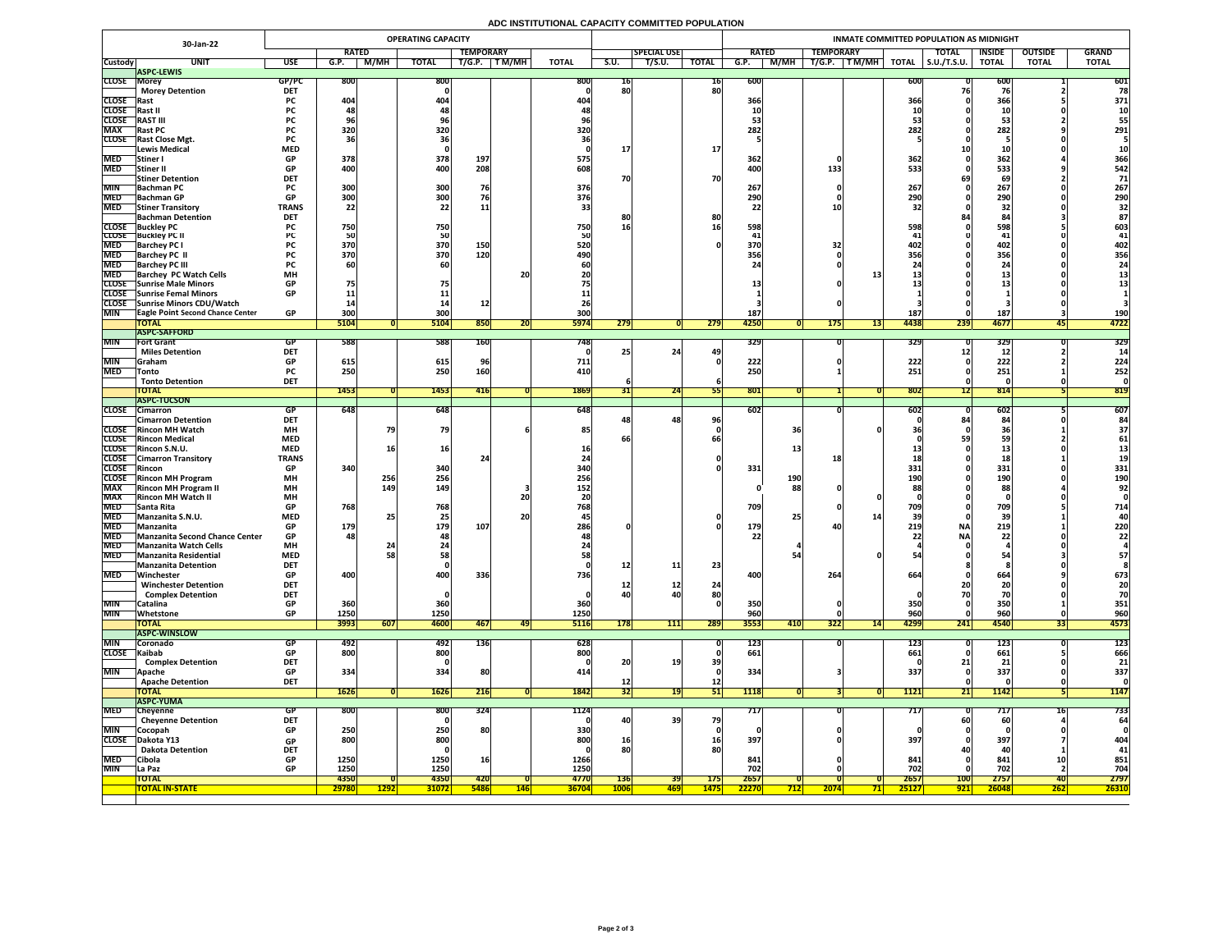## **ADC INSTITUTIONAL CAPACITY COMMITTED POPULATION**

|                               | 30-Jan-22                                                          |                          |                                 |             | <b>OPERATING CAPACITY</b>      |                           |             |                      |                           | INMATE COMMITTED POPULATION AS MIDNIGHT |                           |               |            |                  |                                                       |               |                            |                   |                   |                   |
|-------------------------------|--------------------------------------------------------------------|--------------------------|---------------------------------|-------------|--------------------------------|---------------------------|-------------|----------------------|---------------------------|-----------------------------------------|---------------------------|---------------|------------|------------------|-------------------------------------------------------|---------------|----------------------------|-------------------|-------------------|-------------------|
|                               |                                                                    |                          | <b>RATED</b>                    |             |                                | <b>TEMPORARY</b>          |             |                      |                           | <b>SPECIAL USE</b>                      |                           | <b>RATED</b>  |            | <b>TEMPORARY</b> |                                                       |               | <b>TOTAL</b>               | <b>INSIDE</b>     | <b>OUTSIDE</b>    | <b>GRAND</b>      |
| <b>Custody</b>                | <b>UNIT</b><br><b>ASPC-LEWIS</b>                                   | <b>USE</b>               | G.P.                            | M/MH        | <b>TOTAL</b>                   | T/G.P.                    | T M/MH      | <b>TOTAL</b>         | S.U.                      | T/S.U.                                  | <b>TOTAL</b>              | G.P.          | M/MH       | T/G.P.           | $\boxed{\mathsf{T}\,\mathsf{M}/\mathsf{M}\mathsf{H}}$ | <b>TOTAL</b>  | $\vert$ S.U./T.S.U.        | <b>TOTAL</b>      | <b>TOTAL</b>      | <b>TOTAL</b>      |
| <b>CLOSE Morey</b>            |                                                                    | GP/PC                    | <b>800</b>                      |             | 800                            |                           |             | 800                  | 16                        |                                         | <b>16</b>                 | 600           |            |                  |                                                       | 600           |                            | <b>600</b>        |                   | 601               |
|                               | <b>Morey Detention</b>                                             | <b>DET</b>               |                                 |             |                                |                           |             |                      | 80                        |                                         | 80                        |               |            |                  |                                                       |               |                            |                   |                   | 78                |
| <b>CLOSE</b> Rast             |                                                                    | <b>PC</b>                | 404                             |             | 404                            |                           |             | 404                  |                           |                                         |                           | 366           |            |                  |                                                       | 366           |                            | 366               |                   | 371               |
| CLOSE Rast II<br><b>CLOSE</b> | <b>RAST III</b>                                                    | PL.                      |                                 |             |                                |                           |             |                      |                           |                                         |                           | <b>10</b>     |            |                  |                                                       |               |                            |                   |                   | <b>10</b>         |
| <b>MAX</b>                    | <b>Rast PC</b>                                                     | rl.                      | 320                             |             | 320                            |                           |             | 320                  |                           |                                         |                           | 282           |            |                  |                                                       | 282           |                            | <u>්ටර</u><br>282 |                   | 291               |
|                               | CLOSE Rast Close Mgt.                                              | <b>PC</b>                |                                 |             |                                |                           |             |                      |                           |                                         |                           |               |            |                  |                                                       |               |                            |                   |                   |                   |
|                               | <b>Lewis Medical</b>                                               | <b>MED</b>               |                                 |             |                                |                           |             |                      |                           |                                         | <b>17</b>                 |               |            |                  |                                                       |               |                            |                   |                   |                   |
| <b>MED</b>                    | Stiner I                                                           | <b>GP</b>                | 378                             |             | 378                            | 197                       |             | 575                  |                           |                                         |                           | 362           |            |                  |                                                       | 362           |                            | 362               |                   | 366               |
| <b>MED</b>                    | Stiner II                                                          | <b>GP</b>                | 400                             |             | 400                            | 208                       |             | 608                  |                           |                                         |                           | 400           |            | 133              |                                                       | 533           |                            | 533               |                   | 542               |
| <b>MIN</b>                    | <b>Stiner Detention</b><br><b>Bachman PC</b>                       | <b>DET</b>               | 300                             |             | 300                            | 76                        |             | 376                  | 70                        |                                         | 70                        | 267           |            |                  |                                                       | 267           |                            | 69<br>267         |                   | 71<br>267         |
|                               | MED Bachman GP                                                     | GD.<br>UГ                | 300 <sub>l</sub><br><b>PODE</b> |             | 300 <sub>l</sub><br><b>POC</b> |                           |             | 376                  |                           |                                         |                           | 290           |            |                  |                                                       | cool<br>250   |                            | 200<br>LJU        |                   | 290               |
| <b>MED</b>                    | <b>Stiner Transitory</b>                                           | <b>TRANS</b>             | 22                              |             |                                | <b>11</b>                 |             |                      |                           |                                         |                           |               |            |                  |                                                       |               |                            | 32                |                   |                   |
|                               | <b>Bachman Detention</b>                                           | <b>DET</b>               |                                 |             |                                |                           |             |                      |                           |                                         | 80                        |               |            |                  |                                                       |               |                            |                   |                   |                   |
|                               | <b>CLOSE</b> Buckley PC                                            |                          | 750                             |             | 750                            |                           |             | 750                  | 16                        |                                         |                           | 598           |            |                  |                                                       | 598           |                            | 598               |                   | 603               |
| <b>MED</b>                    | <b>CLOSE</b> Buckley PC II<br><b>Barchey PC I</b>                  |                          | 370                             |             | 50<br>370                      | 150                       |             | 520                  |                           |                                         |                           | 370           |            |                  |                                                       | 402           |                            | 402               |                   | 402               |
| <b>MED</b>                    | <b>Barchey PC II</b>                                               |                          | 370                             |             | 370                            | 120                       |             | 490                  |                           |                                         |                           | 356           |            |                  |                                                       | 356           |                            | 356               |                   | 356               |
| <b>MED</b>                    | <b>Barchey PC III</b>                                              |                          |                                 |             |                                |                           |             |                      |                           |                                         |                           |               |            |                  |                                                       |               |                            |                   |                   |                   |
| <b>MED</b>                    | <b>Barchey PC Watch Cells</b>                                      | <b>MH</b>                |                                 |             |                                |                           | 20          |                      |                           |                                         |                           |               |            |                  |                                                       |               |                            | als w             |                   |                   |
|                               | <b>CLOSE</b> Sunrise Male Minors                                   | <b>GP</b>                |                                 |             |                                |                           |             |                      |                           |                                         |                           |               |            |                  |                                                       |               |                            |                   |                   |                   |
|                               | CLOSE Sunrise Femal Minors<br>CLOSE Sunrise Minors CDU/Watch       | <b>GP</b>                |                                 |             |                                |                           |             |                      |                           |                                         |                           |               |            |                  |                                                       |               |                            |                   |                   |                   |
| <b>MIN</b>                    | <b>TEagle Point Second Chance Center</b>                           | <b>GP</b>                | 300                             |             | 300                            |                           |             | 300                  |                           |                                         |                           | 187           |            |                  |                                                       | 187           |                            | 187               |                   | <b>190</b>        |
|                               | <b>TOTAL</b>                                                       |                          | 5104                            |             | 5104                           | 850                       | ZU.         | <b>5974</b>          | 279                       |                                         | 279                       | 4250          |            | <b>175</b>       |                                                       | 4438          | 239                        | 4677              | 451               | 4722              |
|                               | <b>ASPC-SAFFORD</b>                                                |                          |                                 |             |                                |                           |             |                      |                           |                                         |                           |               |            |                  |                                                       |               |                            |                   |                   |                   |
| <b>MIN</b>                    | <b>Fort Grant</b>                                                  | GP                       | 588                             |             | 588                            | <b>160</b>                |             | 7481                 |                           |                                         |                           | 329           |            |                  |                                                       | <b>329</b>    |                            | 329               |                   | 329               |
| MIN                           | <b>Miles Detention</b>                                             | <b>DET</b><br><b>GP</b>  | 615                             |             | 615                            |                           |             | 711                  |                           | 24                                      | 49                        | 222           |            |                  |                                                       | 222           |                            | 222               |                   | 224               |
| <b>MED</b>                    | <b>Sraham</b><br><b>Tonto</b>                                      | <b>PC</b>                | 250                             |             | 250                            | 160                       |             | 410                  |                           |                                         |                           | 250'          |            |                  |                                                       | 251           |                            | 251               |                   | 252               |
|                               | <b>Tonto Detention</b>                                             | <b>DET</b>               |                                 |             |                                |                           |             |                      |                           |                                         |                           |               |            |                  |                                                       |               |                            |                   |                   |                   |
|                               | <b>TOTAL</b>                                                       |                          | <b>1453</b>                     |             | 1453                           | 416                       |             | 1869                 |                           | $\overline{24}$                         |                           | 801           |            |                  |                                                       | 802           |                            | 814               |                   | 819               |
|                               | <b>ASPC-TUCSON</b>                                                 |                          |                                 |             |                                |                           |             |                      |                           |                                         |                           |               |            |                  |                                                       |               |                            |                   |                   |                   |
|                               | CLOSE Cimarron<br><b>Cimarron Detention</b>                        | GP<br><b>DET</b>         | 648                             |             | 648                            |                           |             | 648                  |                           | 48 <sub>1</sub>                         | 96 <sub>1</sub>           | 602           |            |                  |                                                       | 602           |                            | 602<br>84         |                   | 607               |
|                               | <b>CLOSE</b> Rincon MH Watch                                       | <b>MH</b>                |                                 |             | 79                             |                           |             | 85                   |                           |                                         |                           |               | 36         |                  |                                                       |               |                            |                   |                   |                   |
|                               | <b>CLOSE</b> Rincon Medical                                        | <b>MED</b>               |                                 |             |                                |                           |             |                      |                           |                                         |                           |               |            |                  |                                                       |               |                            |                   |                   |                   |
|                               | CLOSE Rincon S.N.U.                                                | <b>MED</b>               |                                 |             | 16                             |                           |             |                      |                           |                                         |                           |               |            |                  |                                                       |               |                            |                   |                   |                   |
|                               | <b>CLOSE</b> Cimarron Transitory                                   | <b>TRANS</b>             |                                 |             |                                |                           |             |                      |                           |                                         |                           |               |            | <b>18</b>        |                                                       |               |                            |                   |                   |                   |
| <b>CLOSE</b> Rincon           | <b>CLOSE</b> Rincon MH Program                                     | <b>GP</b><br><b>MH</b>   | 340                             | 256         | 340<br>256                     |                           |             | 340<br>256           |                           |                                         |                           | 331           | <b>190</b> |                  |                                                       | 331<br>190    |                            | 331<br><b>190</b> |                   | 331<br><b>190</b> |
| <b>MAX</b>                    | <b>Rincon MH Program II</b>                                        | <b>MH</b>                |                                 | <b>149</b>  | 149                            |                           |             | 152                  |                           |                                         |                           |               | 88         |                  |                                                       |               |                            | 88                |                   | 92                |
| <b>MAX</b>                    | <b>Rincon MH Watch II</b>                                          | <b>MH</b>                |                                 |             |                                |                           | 20          |                      |                           |                                         |                           |               |            |                  |                                                       |               |                            |                   |                   |                   |
| <b>MED</b>                    | <b>Santa Rita</b>                                                  | <b>GP</b>                | 768                             |             | 768                            |                           |             | 768                  |                           |                                         |                           | 709           |            |                  |                                                       | 709           |                            | 709               |                   | 714               |
| <b>MED</b>                    | Manzanita S.N.U.                                                   | <b>MED</b>               |                                 |             | 25 <sub>1</sub>                |                           | <b>20</b>   |                      |                           |                                         |                           |               | 25         |                  |                                                       |               |                            | 39                |                   |                   |
| <b>MED</b>                    | Manzanita                                                          | <b>GP</b>                | 179                             |             | 179                            | 107                       |             | 286                  |                           |                                         |                           | 179           |            |                  |                                                       |               | <b>NA</b>                  | 219               |                   | 220               |
| <b>MED</b>                    | MED Manzanita Second Chance Center<br><b>Manzanita Watch Cells</b> | <b>GP</b><br><b>MH</b>   | 48                              |             | 481                            |                           |             |                      |                           |                                         |                           |               |            |                  |                                                       |               | <b>NA</b>                  | ZZ.               |                   | 22                |
| <b>MED</b>                    | Manzanita Residential                                              | <b>MED</b>               |                                 |             | 58                             |                           |             |                      |                           |                                         |                           |               |            |                  |                                                       |               |                            |                   |                   | 57                |
|                               | <b>Manzanita Detention</b>                                         | <b>DET</b>               |                                 |             |                                |                           |             |                      | 12                        | 11                                      | 23                        |               |            |                  |                                                       |               |                            |                   |                   |                   |
| <b>MED</b>                    | Winchester                                                         | <b>GP</b>                | 400                             |             | 400                            | 336                       |             | 736                  |                           |                                         |                           | 400           |            | 264              |                                                       | 664           |                            | 664               |                   | 673               |
|                               | <b>Winchester Detention</b><br><b>Complex Detention</b>            | <b>DET</b><br><b>DET</b> |                                 |             |                                |                           |             |                      | TT<br>40                  | ┹┻                                      | 24<br>80                  |               |            |                  |                                                       |               |                            |                   |                   | 20                |
| <b>MIN</b>                    | Catalina                                                           | <b>GP</b>                | 360                             |             | 360                            |                           |             | 360                  |                           |                                         |                           | 350           |            |                  |                                                       | 350           |                            | <b>350</b>        |                   | 351               |
| <b>MIN</b>                    | Whetstone                                                          | <b>GP</b>                | 1250                            |             | 1250                           |                           |             | 1250                 |                           |                                         |                           | 960           |            |                  |                                                       | 960           |                            | 960               |                   | 960               |
|                               | <b>TOTAL</b>                                                       |                          | 3993                            | 607         | 4600                           | 467                       | 47          | <b>5116</b>          | <b>178</b>                | 111                                     | 289                       | 3553          | 410        | <b>322</b>       | 14                                                    | 4299          | 241                        | 4540              | 55                | 4573              |
|                               | <b>ASPC-WINSLOW</b>                                                |                          |                                 |             |                                |                           |             |                      |                           |                                         |                           |               |            |                  |                                                       |               |                            |                   |                   |                   |
| <b>MIN</b>                    | <b>Coronado</b>                                                    | GP                       | 492                             |             | 492                            | <b>136</b>                |             | 628                  |                           |                                         |                           | <b>123</b>    |            |                  |                                                       | 123           |                            | <b>123</b>        |                   | 123               |
| CLOSE Kaibab                  | <b>Complex Detention</b>                                           | GP<br><b>DET</b>         | 800                             |             | 800                            |                           |             | 800                  | 20                        | 19                                      | 39                        | 661           |            |                  |                                                       | 661           |                            | 661<br>21         |                   | 666<br>21         |
| <b>MIN</b>                    | <b>Apache</b>                                                      | <b>GP</b>                | 334                             |             | 334                            | 80                        |             |                      |                           |                                         |                           | 334           |            |                  |                                                       | 337           |                            | 337               |                   | 337               |
|                               | <b>Apache Detention</b>                                            | <b>DET</b>               |                                 |             |                                |                           |             |                      | TC                        |                                         | $12$                      |               |            |                  |                                                       |               |                            |                   |                   |                   |
|                               | <b>TOTAL</b>                                                       |                          | 1626                            |             | <b>1626</b>                    | 216                       |             | 1842                 | 32                        | <b>19</b>                               | 51                        | 1118          |            |                  |                                                       | 1121          | <u>21 </u>                 | 1142              |                   | 1147              |
|                               | <b>ASPC-YUMA</b>                                                   |                          |                                 |             |                                |                           |             |                      |                           |                                         |                           |               |            |                  |                                                       |               |                            |                   |                   |                   |
| <b>MED</b>                    | Cheyenne<br><b>Cheyenne Detention</b>                              | <b>GP</b><br><b>DET</b>  | 800                             |             | 800                            | 324                       |             | 1124                 |                           | <b>39</b>                               | 79                        | 717           |            |                  |                                                       | 717           | <b>60</b>                  | <b>60</b>         |                   | 733<br>64         |
| <b>MIN</b>                    | Cocopah                                                            | <b>GP</b>                | 250                             |             | 250                            | <b>80</b>                 |             | 330                  | <b>40</b>                 |                                         |                           |               |            |                  |                                                       |               |                            |                   |                   |                   |
| <b>CLOSE</b>                  | Dakota Y13                                                         | <b>GP</b>                | 800                             |             | 800                            |                           |             | 800                  | <b>16</b>                 |                                         | <b>16</b>                 | 397           |            |                  |                                                       | 397           |                            | 397               |                   | 404               |
|                               | <b>Dakota Detention</b>                                            | <b>DET</b>               |                                 |             |                                |                           |             |                      | 80                        |                                         | 80                        |               |            |                  |                                                       |               |                            | <b>44</b>         |                   | 41                |
| <b>MED</b>                    | <b>Cibola</b>                                                      | <b>GP</b>                | 1250                            |             | 1250                           | <b>16</b>                 |             | 1266                 |                           |                                         |                           | 841           |            |                  |                                                       | 841           |                            | 841               | ᅩᄾ                | 851               |
| <b>MIN</b>                    | La Paz                                                             | <b>GP</b>                | 1250                            |             | 1250                           |                           |             | 1250                 |                           |                                         |                           | 702           |            |                  |                                                       | 702           |                            | 702               |                   | 704               |
|                               | <b>TOTAL</b><br><b>TOTAL IN-STATE</b>                              |                          | 4350<br>29780                   | <b>1292</b> | 4350<br><b>31072</b>           | <b>420</b><br><b>5486</b> | <u> 146</u> | 4770<br><b>36704</b> | <b>136</b><br><b>1006</b> | 39<br><b>469 </b>                       | <b>175</b><br><b>1475</b> | 2657<br>22270 | 712        | 2074             |                                                       | 2657<br>25127 | <b>100</b><br>$\sqrt{921}$ | 2757<br>26048     | <b>40</b><br> 262 | 2797<br>26310     |
|                               |                                                                    |                          |                                 |             |                                |                           |             |                      |                           |                                         |                           |               |            |                  |                                                       |               |                            |                   |                   |                   |